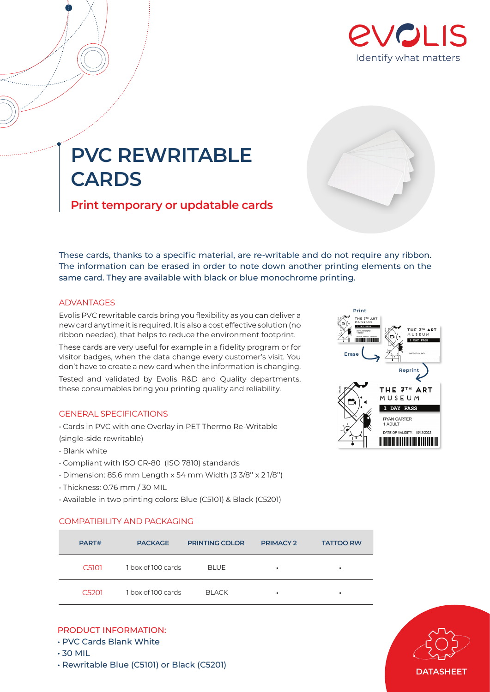

## **PVC REWRITABLE CARDS**

**Print temporary or updatable cards**



## **ADVANTAGES**

Evolis PVC rewritable cards bring you flexibility as you can deliver a new card anytime it is required. It is also a cost effective solution (no ribbon needed), that helps to reduce the environment footprint.

These cards are very useful for example in a fidelity program or for visitor badges, when the data change every customer's visit. You don't have to create a new card when the information is changing. Tested and validated by Evolis R&D and Quality departments, these consumables bring you printing quality and reliability.

## GENERAL SPECIFICATIONS

- Cards in PVC with one Overlay in PET Thermo Re-Writable (single-side rewritable)
- Blank white
- Compliant with ISO CR-80 (ISO 7810) standards
- Dimension: 85.6 mm Length x 54 mm Width (3 3/8'' x 2 1/8'')
- Thickness: 0.76 mm / 30 MIL
- Available in two printing colors: Blue (C5101) & Black (C5201)

| Print<br>THE 7TH ART<br>MUSEUM<br><b>PASS</b><br>ANNA MONTERO<br>1 ADULT<br>OF VALIDITY: 1010/2022<br>Erase | THE 7TH ART<br>MUSEUM<br>DAY PASS<br>DATE OF VALIDITY: |
|-------------------------------------------------------------------------------------------------------------|--------------------------------------------------------|
|                                                                                                             | Reprint                                                |
| Eval                                                                                                        | THE 7TH ART<br>MUSEUM                                  |
|                                                                                                             | 1 DAY PASS                                             |
|                                                                                                             | <b>RYAN CARTER</b><br>1 ADULT                          |
|                                                                                                             | DATE OF VALIDITY: 10/12/2022                           |

## COMPATIBILITY AND PACKAGING

| PART#              | <b>PACKAGE</b>     | <b>PRINTING COLOR</b> | <b>PRIMACY 2</b> | <b>TATTOO RW</b> |
|--------------------|--------------------|-----------------------|------------------|------------------|
| C <sub>5101</sub>  | 1 box of 100 cards | <b>BLUE</b>           | ٠                | ٠                |
| C <sub>520</sub> 1 | 1 box of 100 cards | <b>BLACK</b>          | ٠                | ٠                |

## PRODUCT INFORMATION:

- PVC Cards Blank White
- 30 MIL
- Rewritable Blue (C5101) or Black (C5201)